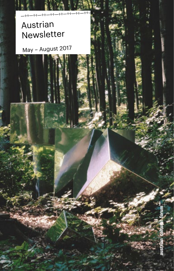# Austrian Newsletter

—÷÷—÷÷—÷÷—÷÷—÷÷—÷÷—÷÷—÷÷—

May – August 2017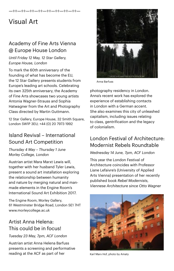# Visual Art

## Academy of Fine Arts Vienna @ Europe House London

—÷÷—÷÷—÷÷—÷÷—÷÷—÷÷—÷÷—÷÷—

*Until Friday 12 May, 12 Star Gallery, Europe House, London* 

To mark the 60th anniversary of the founding of what has become the EU, the 12 Star Gallery presents students from Europe's leading art schools. Celebrating its own 325th anniversary, the Academy of Fine Arts showcases two young artists Antonia Wagner-Strauss and Sophia Hatwagner from the Art and Photography Class directed by Martin Guttmann.

12 Star Gallery, Europe House, 32 Smith Square, London SW1P 3EU; +44 (0) 20 7973 1992

## Island Revival – International Sound Art Competition

*Thursday 4 May – Thursday 1 June Morley College, London*

Austrian artist Mara Marxt Lewis will, together with her husband Tyler Lewis, present a sound art installation exploring the relationship between humanity and nature by merging natural and manmade elements in the Engine Room's International Sound Art Exhibition 2017.

The Engine Room, Morley Gallery, 61 Westminster Bridge Road, London SE1 7HT [www.morleycollege.ac.uk](http://www.morleycollege.ac.uk)

## Artist Anna Helena: This could be in focus!

*Tuesday 23 May, 7pm, ACF London*

Austrian artist Anna Helena Barfuss presents a screening and performative reading at the ACF as part of her



Anna Barfuss

photography residency in London. Anna's recent work has explored the experience of establishing contacts in London with a German accent. She also examines this city of unleashed capitalism, including issues relating to class, gentrification and the legacy of colonialism.

## London Festival of Architecture: Modernist Rebels Roundtable

#### *Wednesday 14 June, 7pm, ACF London*

This year the London Festival of Architecture coincides with Professor Liane Lefaivre's (University of Applied Arts Vienna) presentation of her recently published book *Rebel Modernists, Viennese Architecture since Otto Wagner*



Karl Marx Hof, photo by Amaty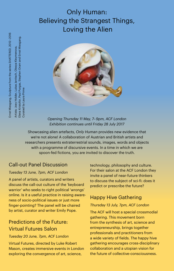# Only Human: Believing the Strangest Things, Loving the Alien

Elena Kristofor, Paul Purgas, Stephen Oram and Ernst Miesgang. Elena Kristofor, Paul Purgas, Stephen Oram and Ernst Miesgang. Artists: Joey Holder, Lukas Janitsch, Olesya Kleymenova, Artists: Joey Holder, Lukas Janitsch, Olesya Kleymenova, Curated by Laura Prime Curated by Laura Prime



*Opening Thursday 11 May, 7– 9pm, ACF London Exhibition continues until Friday 28 July 2017*

Showcasing alien artefacts, *Only Human* provides new evidence that we're not alone! A collaboration of Austrian and British artists and researchers presents extraterrestrial sounds, images, words and objects with a programme of discursive events. In a time in which we are spoon-fed fictions, you are invited to discover the truth.

## Call-out Panel Discussion

#### *Tuesday 13 June, 7pm, ACF London*

A panel of artists, curators and writers discuss the call-out culture of the 'keyboard warrior' who seeks to right political 'wrongs' online. Is it a useful practice in raising awareness of socio-political issues or just more finger-pointing? The panel will be chaired by artist, curator and writer Emily Pope.

## Predictions of the Future: Virtual Futures Salon

#### *Tuesday 20 June, 7pm, ACF London*

Virtual Futures, directed by Luke Robert Mason, creates immersive events in London exploring the convergence of art, science,

technology, philosophy and culture. For their salon at the ACF London they invite a panel of near-future thinkers to discuss the subject of sci-fi: does it predict or prescribe the future?

## Happy Hive Gathering

#### *Thursday 13 July, 7pm, ACF London*

The ACF will host a special crossmodial gathering. This movement born from the synthesis of art, science and entrepreneurship, brings together professionals and practitioners from a wide variety of fields. The happy hive gathering encourages cross-disciplinary collaboration and a utopian vision for the future of collective-consciousness.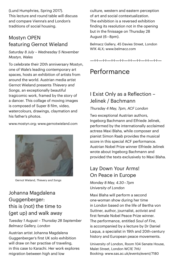(Lund Humphries, Spring 2017). This lecture and round table will discuss and compare Vienna's and London's traditions of social housing.

## Mostyn OPEN featuring Gernot Wieland

#### *Saturday 8 July – Wednesday 5 November Mostyn, Wales*

To celebrate their 20th anniversary Mostyn, one of Wale's leading contemporary art spaces, hosts an exhibition of artists from around the world. Austrian media artist Gernot Wieland presents *Thievery and Songs*, an exceptionally beautiful tragicomic work, framed by the story of a dancer. This collage of moving images is composed of Super 8 film, video, watercolours, drawings, claymation and his father's photos.

[www.mostyn.org;](http://www.mostyn.org) [www.gernotwieland.com](http://www.gernotwieland.com)



Gernot Wieland, *Thievery and Songs*

## Johanna Magdalena Guggenberger: this is (not) the time to (get up) and walk away

*Tuesday 1 August – Thursday 28 September Belmacz Gallery, London*

Austrian artist Johanna Magdalena Guggenberger's first UK solo exhibition will draw on her practise of traveling, in this case to Karachi. Her work explores migration between high and low

culture, western and eastern perception of art and social contextualization. The exhibition is a reversed exhibition finding its resolution not in the opening but in the finissage on Thursday 28 August (6 – 8pm).

Belmacz Gallery, 45 Davies Street, London W1K 4LX; [www.belmacz.com](http://www.belmacz.com)

—÷÷—÷÷—÷÷—÷÷—÷÷—÷÷—÷÷—÷÷—

# Performance

## I Exist Only as a Reflection – Jelinek / Bachmann

#### *Thursday 4 May, 7pm, ACF London*

Two exceptional Austrian authors, Ingeborg Bachmann and Elfriede Jelinek, performed by the internationally acclaimed actress Maxi Blaha, while composer and pianist Simon Raab provides the musical score in this special ACF performance. Austrian Nobel Prize winner Elfriede Jelinek wrote about Ingeborg Bachmann and provided the texts exclusively to Maxi Blaha.

## Lay Down Your Arms! On Peace in Europe

*Monday 8 May, 4.30 – 7pm University of London*

Maxi Blaha will perform a second one-woman show during her time in London based on the life of Bertha von Suttner, author, journalist, activist and first female Nobel Peace Prize winner. The performance, entitled *Soul of Fire*, is accompanied by a lecture by Dr Daniel Laqua, a specialist in 19th and 20th-century history and European peace movements.

University of London, Room 104 Senate House, Malet Street, London WC1E 7HU Booking: www.sas.ac.uk/events/event/7180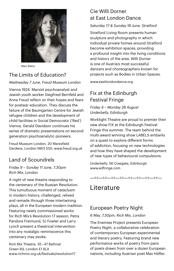

Maxi Blaha

## The Limits of Education?

*Wednesday 7 June, Freud Museum London*

Vienna 1924. Marxist psychoanalyst and Jewish youth worker Siegfried Bernfeld and Anna Freud reflect on their hopes and fears for postwar education. They discuss the failure of the Baumgarten Centre for Jewish refugee children and the development of child facilities in Social Democratic ('Red') Vienna. Gerald Davidson continues his series of dramatic presentations on second generation psychoanalytic pioneers.

Freud Museum London, 20 Maresfield Gardens, London NW3 5SX; [www.freud.org.uk](http://www.freud.org.uk)

## Land of Scoundrels

#### *Friday 9 – Sunday 11 June, 7.30pm Rich Mix, London*

A night of new theatre responding to the centenary of the Russian Revolution. This tumultuous moment of cataclysm in modern history, challenged, relived and remade through three intertwining plays, all in the European modern tradition. Featuring newly commissioned works for Rich Mix's Revolution 17 season, Petra Pandora Freimund, SJ Fowler and Larry Lynch present a theatrical intervention into any nostalgic reminiscence this centenary may evoke.

Rich Mix Theatre, 35 – 47 Bethnal Green Rd, London E1 6LA [www.richmix.org.uk/festivals/revolution17](http://www.richmix.org.uk/festivals/revolution17)

## Cie Willi Dorner at East London Dance

#### *Saturday 17 & Sunday 18 June, Stratford*

Stratford Living Room presents human sculpture and photography in which individual private homes around Stratford become exhibition spaces, providing a profound insight into the living conditions and history of the area. Willi Dorner is one of Austria's most successful dancers and choreographers known for projects such as Bodies in Urban Spaces.

[www.eastlondondance.org](http://www.eastlondondance.org)

## Fix at the Edinburgh Festival Fringe

#### *Friday 4 – Monday 28 August Underbelly, Edinburgh*

Worklight Theatre are proud to premier their new show FIX at the Edinburgh Festival Fringe this summer. The team behind the multi-award winning show LABELS embarks on a quest to explore different forms of addiction, focusing on new technologies and how they have shaped the development of new types of behavioural compulsions.

Underbelly, 56 Cowgate, Edinburgh [www.edfringe.com](http://www.edfringe.com)

#### —÷÷—÷÷—÷÷—÷÷—÷÷—÷÷—÷÷—÷÷—

## Literature

## European Poetry Night

#### *6 May, 7.30pm, Rich Mix, London*

The Enemies Project presents European Poetry Night, a collaborative celebration of contemporary European experimental and literary poetry. Featuring brand new performance works of poetry from pairs of poets drawn from over a dozen European nations, including Austrian poet Max Höfler.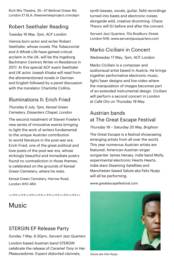Rich Mix Theatre, 35 – 47 Bethnal Green Rd, London E1 6LA; [theenemiesproject.com/epn](http://www.theenemiesproject.com/epn)

## Robert Seethaler Reading

#### *Tuesday 16 May, 7pm, ACF London*

Vienna-born actor and writer Robert Seethaler, whose novels *The Tobacconist* and *A Whole Life* have gained critical acclaim in the UK, will be the Ingeborg Bachmann Centre's Writer-in-Residence in 2017. At this special ACF event Seethaler and UK actor Joseph Kloska will read from the aforementioned novels in German and English followed by a panel discussion with the translator Charlotte Collins.

## Illuminations II: Erich Fried

#### *Thursday 6 July, 7pm, Kensal Green Cemetery, Dissenters Chapel, London*

The second instalment of Steven Fowler's new series of innovative events bringing to light the work of writers fundamental to the unique Austrian contribution to world literature in the post-war era. Erich Fried, one of the great political and love poets of the post-war era, whose strikingly beautiful and immediate poetry found no contradiction in those themes, is celebrated on the grounds of Kensal Green Cemetery, where he rests.

Kensal Green Cemetary, Harrow Road, London W10 4RA

—÷÷—÷÷—÷÷—÷÷—÷÷—÷÷—÷÷—÷÷—

# Music

## STERGIN EP Release Party

*Sunday 7 May, 6.30pm, Servant Jazz Quarters*

London-based Austrian band STERGIN celebrate the release of *Caramel Tony in Her Pleasuredome*. Expect distorted clarinets,

synth basses, vocals, quitar, field recordings turned into beats and electronic noises alongside wild, creative drumming. Chaos Theory will DJ before and after the concert.

Servant Jazz Quarters, 10a Bradbury Street, London N16; [www.servantjazzquarters.com](http://www.servantjazzquarters.com) 

## Marko Ciciliani in Concert

Wednesday 17 May, 7pm, ACF London

Marko Ciciliani is a composer and audiovisual artist based in Austria. He brings together performative electronic music, light / laser designs and live-video where the manipulation of images becomes part of an extended instrumental design. Ciciliani will perform a second concert in London at Café Oto on Thursday 18 May.

## Austrian bands at The Great Escape Festival

#### *Thursday 18 – Saturday 20 May, Brighton*

The Great Escape is a festival showcasing emerging artists from all over the world. This year numerous Austrian artists are featured: American-Austrian singer songwriter James Hersey, indie band Molly, experimental electronic Hearts Hearts, indie stars Steaming Satellites and Manchester-based Salute aka Felix Nyajo will all be performing.

[www.greatescapefestival.com](http://www.greatescapefestival.com)



Salute aka Felix Nyajo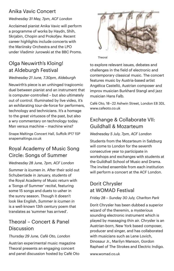## Anika Vavic Concert

### *Wednesday 31 May, 7pm, ACF London*

Acclaimed pianist Anika Vavic will perform a programme of works by Haydn, Shih, Skriabin, Chopin and Prokofiev. Recent career highlights include concerts with the Mariinsky Orchestra and the LPO under Vladimir Jurowski at the BBC Proms.

## Olga Neuwirth's Kloing! at Aldeburgh Festival

#### *Wednesday 21 June, 7.30pm, Aldeburgh*

Neuwirth's piece is an unhinged tragicomic duel between pianist and an instrument that is computer-controlled – but also ultimately out of control. Illuminated by live video, it's an exhilarating tour-de-force for performers, technology and technicians. It's a homage to the great virtuosos of the past, but also a wry commentary on technology today. Man versus machine – machine wins?

Snape Maltings Concert Hall, Suffolk IP17 1SP [snapemaltings.co.uk](https://snapemaltings.co.uk/whats-on/kloing/)

## Royal Academy of Music Song Circle: Songs of Summer

### *Wednesday 28 June, 7pm, ACF London*

*Summer is icumen in.* After their sold out Schubertiade in January, students of the Royal Academy of Music return with a 'Songs of Summer' recital, featuring some 15 songs and duets to usher in the sunny season. Though it doesn't look like English, *Summer is icumen in* is a well-known 13th century poem that translates as 'summer has arrived'.

## Theoral – Concert & Panel Discussion

### *Thursday 29 June, Café Oto, London*

Austrian experimental music magazine Theoral presents an engaging concert and panel discussion hosted by Café Oto



Theoral

to explore relevant issues, debates and challenges in the field of electronic and contemporary classical music. The concert features music by Austria-based artist Angélica Castelló, Austrian composer and improv musician Burkhard Stangl and jazz musician Hans Falb.

Café Oto, 18 – 22 Ashwin Street, London E8 3DL [www.cafeoto.co.uk](http://www.cafeoto.co.uk)

## Exchange & Collaborate VII: Guildhall & Mozarteum

#### *Wednesday 5 July, 7pm, ACF London*

Students from the Mozarteum in Salzburg will come to London for the seventh consecutive year to participate in workshops and exchanges with students at the Guildhall School of Music and Drama. The invited ensemble from each institution will perform a concert at the ACF London.

## Dorit Chrysler at WOMAD Festival

### *Friday 28 – Sunday 30 July, Charlton Park*

Dorit Chrysler has been dubbed a superior wizard of the theremin, a mysterious sounding electronic instrument which is played by massaging thin air. Chrysler is an Austrian-born, New York based composer, producer and singer, and has collaborated with musicians such as Lene Lovich, Dinosaur Jr., Marilyn Manson, Gordon Raphael of The Strokes and Electric Indigo.

[www.womad.co.uk](http://www.womad.co.uk)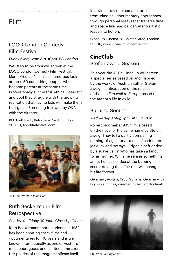#### —÷÷—÷÷—÷÷—÷÷—÷÷—÷÷—÷÷—÷÷—

# Film

## LOCO London Comedy Film Festival

#### *Friday 5 May, 2pm & 8.30pm, BFI London*

*We Used to be Cool* will screen at the LOCO London Comedy Film Festival. Marie Kreutzer's film is a humorous look at three 30-something couples who become parents at the same time. Professionally successful, ethical, idealistic and cool they struggle with the growing realisation that having kids will make them bourgeois. Screening followed by Q&A with the director.

BFI Southbank, Belvedere Road, London SE1 8XT; [locofilmfestival.com](http://locofilmfestival.com/2017-festival/)



Still from *We Used to be Cool*

## Ruth Beckermann Film Retrospective

#### *Sunday 4 – Friday 30 June, Close-Up Cinema*

Ruth Beckermann, born in Vienna in 1952, has been creating essay films and documentaries for 40 years and is well known internationally as one of Austria's most courageous and spirited filmmakers. Her politics of the image manifests itself

in a wide array of cinematic forms: from 'classical' documentary approaches through personal essays that traverse time and space like magical carpets to artistic leaps into fiction.

Close-Up Cinema, 97 Sclater Stree, London E1 6HR; [www.closeupfilmcentre.com](http://www.closeupfilmcentre.com)

## **CineClub** Stefan Zweig Season

This year the ACF's Cineclub will screen a special series based on and inspired by the works of Austrian author Stefan Zweig in anticipation of the release of the film *Farewell to Europe* based on the author's life in exile.

## Burning Secret

#### *Wednesday 3 May, 7pm, ACF London*

Robert Siodmak's 1933 film is based on the novel of the same name by Stefan Zweig. They tell a darkly compelling coming-of-age story – a tale of seduction, jealousy and betrayal. Edgar is befriended by a suave Baron who has taken a fancy to his mother. While he senses something amiss he has no idea of the burning secret driving the affair that will change his life forever.

Germany / Austria, 1933, 93 mins, German with English subtitles, directed by Robert Siodmak



Still from *Burning Secret*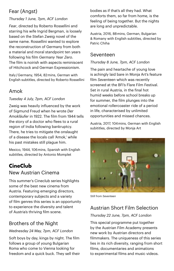## Fear (Angst)

#### *Thursday 1 June, 7pm, ACF London*

*Fear*, directed by Roberto Rossellini and starring his wife Ingrid Bergman, is loosely based on the Stefan Zweig novel of the same name. Rossellini wanted to explore the reconstruction of Germany from both a material and moral standpoint ten years following his film *Germany Year Zero*. The film is noirish with aspects reminiscent of Hitchcock and German Expressionism.

Italy / Germany, 1954, 82 mins, German with English subtitles, directed by Roberto Rossellini

## Amok

#### *Tuesday 4 July, 7pm, ACF London*

Zweig was heavily influenced by the work of Sigmund Freud when he wrote *Der Amokläufer* in 1922. The film from 1944 tells the story of a doctor who flees to a rural region of India following bankruptcy. There, he tries to mitigate the onslaught of a disease the locals call 'Amok,' while his past mistakes still plague him.

Mexico, 1944, 106 mins, Spanish with English subtitles, directed by Antonio Momplet

## **CineClub**

### New Austrian Cinema

This summer's Cineclub series highlights some of the best new cinema from Austria. Featuring emerging directors, contemporary subjects and a variety of film genres this series is an opportunity to experience the diversity and talent of Austria's thriving film scene.

## Brothers of the Night

#### *Wednesday 24 May, 7pm, ACF London*

Soft boys by day, kings by night. The film follows a group of young Bulgarian Roma who come to Vienna looking for freedom and a quick buck. They sell their bodies as if that's all they had. What comforts them, so far from home, is the feeling of being together. But the nights are long and unpredictable.

Austria, 2016, 88 mins, German, Bulgarian & Romany with English subtitles, directed by Patric Chiha

## Seventeen

#### *Thursday 8 June, 7pm, ACF London*

The pain and heartache of young love is achingly laid bare in Monja Art's feature film *Seventeen* which was recently screened at the BFI's Flare Film Festival. Set in rural Austria, in the final hot humid weeks before school breaks up for summer, the film plunges into the emotional rollercoaster ride of a period in life, characterised by unlimited opportunities and missed chances.

Austria, 2017, 104 mins, German with English subititles, directed by Monja Art



Still from *Seventeen*

## Austrian Short Film Selection

#### *Thursday 22 June, 7pm, ACF London*

This special programme put together by the Austrian Film Academy presents new work by Austrian directors and filmmakers. The uniqueness of this series lies in its rich diversity, ranging from short films, documentaries and animations to experimental films and music videos.